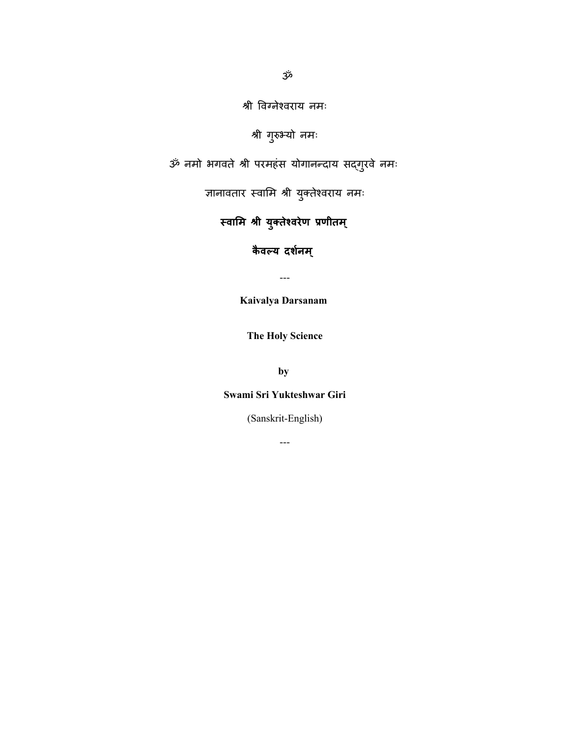श्री विग्नेश्िराय नमः

श्री गुरुभ्यो नमः

ॐ नमो भगिते श्री परमहंस योगानन्दाय सद्गुरिे नमः

ज्ञानावतार स्वामि श्री युक्तेश्वराय नमः

**स्वामि श्री युक्तेश्वरेण प्रणीति्**

**कैवल्य दर्नश ि ्**

---

**Kaivalya Darsanam**

**The Holy Science**

**by**

#### **Swami Sri Yukteshwar Giri**

(Sanskrit-English)

---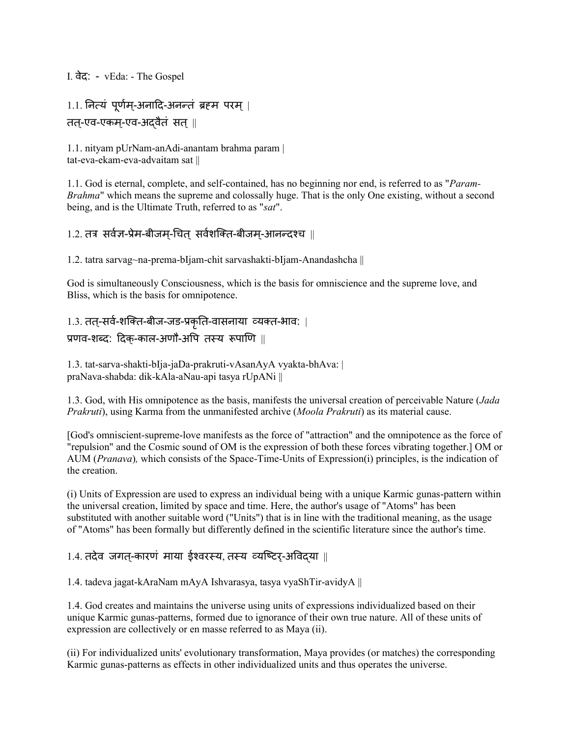#### I. िेद: - vEda: - The Gospel

# $1.1.$  नित्यं पूर्णम्-अनादि-अनन्तं ब्रहम परम् | तत-्एि-एकम-्एि-अद्िैतं सत्||

1.1. nityam pUrNam-anAdi-anantam brahma param | tat-eva-ekam-eva-advaitam sat ||

1.1. God is eternal, complete, and self-contained, has no beginning nor end, is referred to as "*Param-Brahma*" which means the supreme and colossally huge. That is the only One existing, without a second being, and is the Ultimate Truth, referred to as "*sat*".

## 1.2. तत्र सर्वज्ञ-प्रेम-बीजम-चित सर्वशक्ति-बीजम-आनन्दश्च ||

1.2. tatra sarvag~na-prema-bIjam-chit sarvashakti-bIjam-Anandashcha ||

God is simultaneously Consciousness, which is the basis for omniscience and the supreme love, and Bliss, which is the basis for omnipotence.

# 1.3. तत्-सर्व-शक्ति-बीज-जड-प्रकृति-वासनाया व्यक्त-भाव: | प्रणव-शब्द: दिक-काल-अणौ-अपि तस्य रूपाणि ||

1.3. tat-sarva-shakti-bIja-jaDa-prakruti-vAsanAyA vyakta-bhAva: | praNava-shabda: dik-kAla-aNau-api tasya rUpANi ||

1.3. God, with His omnipotence as the basis, manifests the universal creation of perceivable Nature (*Jada Prakruti*), using Karma from the unmanifested archive (*Moola Prakruti*) as its material cause.

[God's omniscient-supreme-love manifests as the force of "attraction" and the omnipotence as the force of "repulsion" and the Cosmic sound of OM is the expression of both these forces vibrating together.] OM or AUM (*Pranava*)*,* which consists of the Space-Time-Units of Expression(i) principles, is the indication of the creation.

(i) Units of Expression are used to express an individual being with a unique Karmic gunas-pattern within the universal creation, limited by space and time. Here, the author's usage of "Atoms" has been substituted with another suitable word ("Units") that is in line with the traditional meaning, as the usage of "Atoms" has been formally but differently defined in the scientific literature since the author's time.

#### 1.4. तदेव जगत-कारणं माया ईश्वरस्य, तस्य व्यष्टिर-अविदया ॥

1.4. tadeva jagat-kAraNam mAyA Ishvarasya, tasya vyaShTir-avidyA ||

1.4. God creates and maintains the universe using units of expressions individualized based on their unique Karmic gunas-patterns, formed due to ignorance of their own true nature. All of these units of expression are collectively or en masse referred to as Maya (ii).

(ii) For individualized units' evolutionary transformation, Maya provides (or matches) the corresponding Karmic gunas-patterns as effects in other individualized units and thus operates the universe.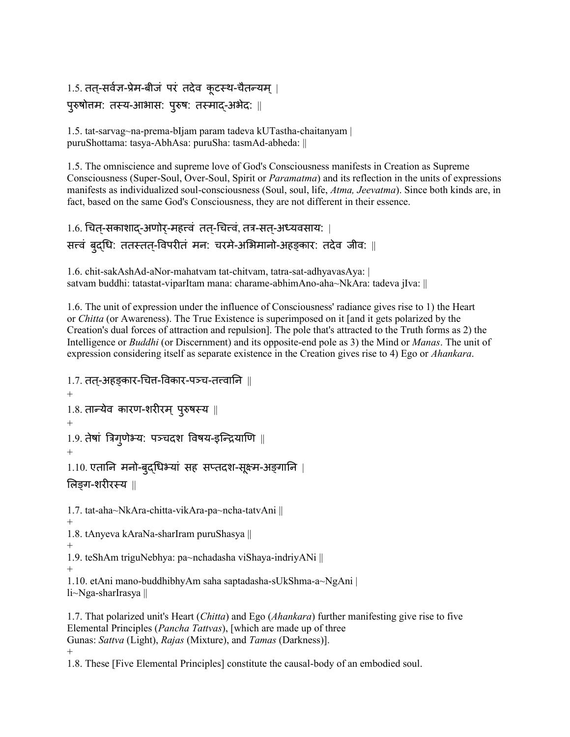```
1.5. तत्-सर्वज्ञ-प्रेम-बीजं परं तदेव कूटस्थ-चैतन्यम् |
पुरुषोत्तम: तस्य-आभास: पुरुष: तस्माद्-अभेद: ||
```
1.5. tat-sarvag~na-prema-bIjam param tadeva kUTastha-chaitanyam | puruShottama: tasya-AbhAsa: puruSha: tasmAd-abheda: ||

1.5. The omniscience and supreme love of God's Consciousness manifests in Creation as Supreme Consciousness (Super-Soul, Over-Soul, Spirit or *Paramatma*) and its reflection in the units of expressions manifests as individualized soul-consciousness (Soul, soul, life, *Atma, Jeevatma*). Since both kinds are, in fact, based on the same God's Consciousness, they are not different in their essence.

```
1.6. चित-सकाशाद-अर्णोर्-महत्त्वं तत्-चित्त्वं, तत्र-सत्-अध्यवसाय: |
सत्त्वं बुदधि: ततस्तत्-विपरीतं मन: चरमे-अभिमानो-अहङ्कार: तदेव जीव: ||
```
1.6. chit-sakAshAd-aNor-mahatvam tat-chitvam, tatra-sat-adhyavasAya: | satvam buddhi: tatastat-viparItam mana: charame-abhimAno-aha~NkAra: tadeva jIva: ||

1.6. The unit of expression under the influence of Consciousness' radiance gives rise to 1) the Heart or *Chitta* (or Awareness). The True Existence is superimposed on it [and it gets polarized by the Creation's dual forces of attraction and repulsion]. The pole that's attracted to the Truth forms as 2) the Intelligence or *Buddhi* (or Discernment) and its opposite-end pole as 3) the Mind or *Manas*. The unit of expression considering itself as separate existence in the Creation gives rise to 4) Ego or *Ahankara*.

```
1.7. तत-अहङकार-चित्त-विकार-पञ्च-तत्त्वानि ॥
+1.8. तान्येव कारण-शरीरम् पुरुषस्य ||
+
1.9. तेषां त्रिग्णेभ्य: पञ्चदश विषय-इन्द्रियाणि \parallel+
1.10. एतानि मनो-बुद्धिभ्यां सह सप्तदश-सूक्ष्म-अङ्गानि |
मलङ्ग-शरीरस्य ||
1.7. tat-aha~NkAra-chitta-vikAra-pa~ncha-tatvAni ||
+
1.8. tAnyeva kAraNa-sharIram puruShasya ||
+
1.9. teShAm triguNebhya: pa~nchadasha viShaya-indriyANi ||
+
1.10. etAni mano-buddhibhyAm saha saptadasha-sUkShma-a~NgAni |
li~Nga-sharIrasya ||
```
1.7. That polarized unit's Heart (*Chitta*) and Ego (*Ahankara*) further manifesting give rise to five Elemental Principles (*Pancha Tattvas*), [which are made up of three Gunas: *Sattva* (Light), *Rajas* (Mixture), and *Tamas* (Darkness)]. +

1.8. These [Five Elemental Principles] constitute the causal-body of an embodied soul.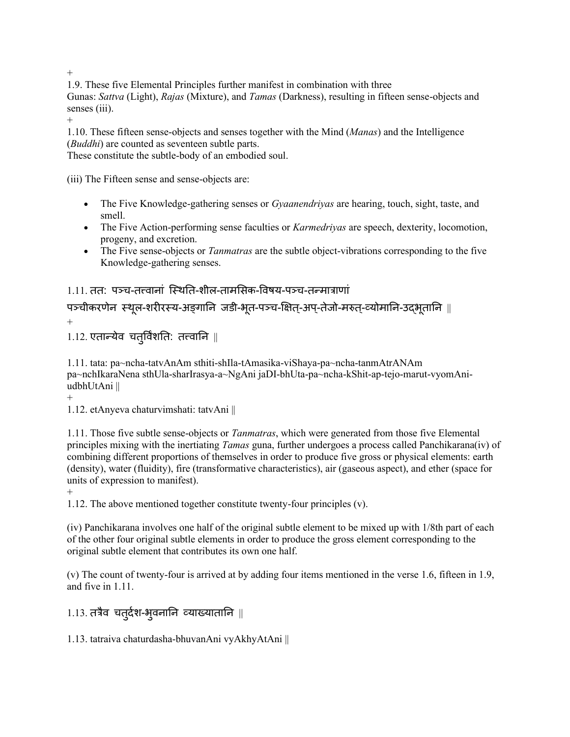+

1.9. These five Elemental Principles further manifest in combination with three

Gunas: *Sattva* (Light), *Rajas* (Mixture), and *Tamas* (Darkness), resulting in fifteen sense-objects and senses (iii).

+

1.10. These fifteen sense-objects and senses together with the Mind (*Manas*) and the Intelligence (*Buddhi*) are counted as seventeen subtle parts.

These constitute the subtle-body of an embodied soul.

(iii) The Fifteen sense and sense-objects are:

- The Five Knowledge-gathering senses or *Gyaanendriyas* are hearing, touch, sight, taste, and smell.
- The Five Action-performing sense faculties or *Karmedriyas* are speech, dexterity, locomotion, progeny, and excretion.
- The Five sense-objects or *Tanmatras* are the subtle object-vibrations corresponding to the five Knowledge-gathering senses.

1.11. तत: पञ्च-तत्त्वानां स्थिति-शील-तामसिक-विषय-पञ्च-तन्मात्राणां

पञ्चीकरणेन स्थल-शरीरस्य-अङ्गानि जडी-भूत-पञ्च-क्षित्-अप-तेजो-मरुत्-व्योमानि-उदभूतानि || +

 $1.12.$  एतान्येव चतुर्विंशति: तत्त्वानि ||

1.11. tata: pa~ncha-tatvAnAm sthiti-shIla-tAmasika-viShaya-pa~ncha-tanmAtrANAm pa~nchIkaraNena sthUla-sharIrasya-a~NgAni jaDI-bhUta-pa~ncha-kShit-ap-tejo-marut-vyomAniudbhUtAni ||

 $+$ 

1.12. etAnyeva chaturvimshati: tatvAni ||

1.11. Those five subtle sense-objects or *Tanmatras*, which were generated from those five Elemental principles mixing with the inertiating *Tamas* guna, further undergoes a process called Panchikarana(iv) of combining different proportions of themselves in order to produce five gross or physical elements: earth (density), water (fluidity), fire (transformative characteristics), air (gaseous aspect), and ether (space for units of expression to manifest).

 $+$ 

1.12. The above mentioned together constitute twenty-four principles (v).

(iv) Panchikarana involves one half of the original subtle element to be mixed up with 1/8th part of each of the other four original subtle elements in order to produce the gross element corresponding to the original subtle element that contributes its own one half.

(v) The count of twenty-four is arrived at by adding four items mentioned in the verse 1.6, fifteen in 1.9, and five in 1.11.

 $1.13.$  तत्रैव चतुर्दश-भुवनानि व्याख्यातानि ||

1.13. tatraiva chaturdasha-bhuvanAni vyAkhyAtAni ||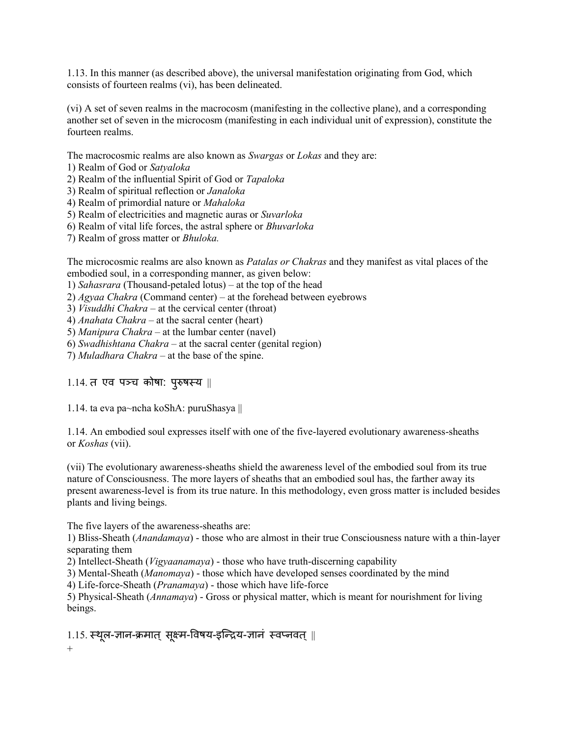1.13. In this manner (as described above), the universal manifestation originating from God, which consists of fourteen realms (vi), has been delineated.

(vi) A set of seven realms in the macrocosm (manifesting in the collective plane), and a corresponding another set of seven in the microcosm (manifesting in each individual unit of expression), constitute the fourteen realms.

The macrocosmic realms are also known as *Swargas* or *Lokas* and they are:

1) Realm of God or *Satyaloka*

2) Realm of the influential Spirit of God or *Tapaloka*

- 3) Realm of spiritual reflection or *Janaloka*
- 4) Realm of primordial nature or *Mahaloka*
- 5) Realm of electricities and magnetic auras or *Suvarloka*
- 6) Realm of vital life forces, the astral sphere or *Bhuvarloka*
- 7) Realm of gross matter or *Bhuloka.*

The microcosmic realms are also known as *Patalas or Chakras* and they manifest as vital places of the embodied soul, in a corresponding manner, as given below:

1) *Sahasrara* (Thousand-petaled lotus) – at the top of the head

2) *Agyaa Chakra* (Command center) – at the forehead between eyebrows

3) *Visuddhi Chakra* – at the cervical center (throat)

4) *Anahata Chakra* – at the sacral center (heart)

5) *Manipura Chakra* – at the lumbar center (navel)

6) *Swadhishtana Chakra* – at the sacral center (genital region)

7) *Muladhara Chakra* – at the base of the spine.

#### 1.14. त एव पञ्च कोषा: पुरुषस्य ||

1.14. ta eva pa~ncha koShA: puruShasya ||

1.14. An embodied soul expresses itself with one of the five-layered evolutionary awareness-sheaths or *Koshas* (vii).

(vii) The evolutionary awareness-sheaths shield the awareness level of the embodied soul from its true nature of Consciousness. The more layers of sheaths that an embodied soul has, the farther away its present awareness-level is from its true nature. In this methodology, even gross matter is included besides plants and living beings.

The five layers of the awareness-sheaths are:

1) Bliss-Sheath (*Anandamaya*) - those who are almost in their true Consciousness nature with a thin-layer separating them

2) Intellect-Sheath (*Vigyaanamaya*) - those who have truth-discerning capability

3) Mental-Sheath (*Manomaya*) - those which have developed senses coordinated by the mind

4) Life-force-Sheath (*Pranamaya*) - those which have life-force

5) Physical-Sheath (*Annamaya*) - Gross or physical matter, which is meant for nourishment for living beings.

 $1.15.$  स्थूल-ज्ञान-क्रमात् सूक्ष्म-विषय-इन्द्रिय-ज्ञानं स्वप्नवत् || +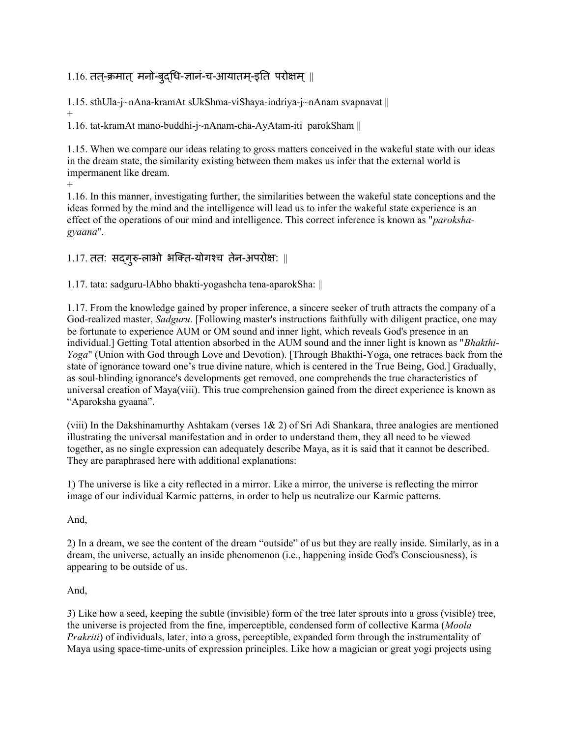# $1.16$ . तत्-क्रमात् मनो-बुद्धि-ज्ञानं-च-आयातम्-इति परोक्षम् ||

1.15. sthUla-j~nAna-kramAt sUkShma-viShaya-indriya-j~nAnam svapnavat || +

1.16. tat-kramAt mano-buddhi-j~nAnam-cha-AyAtam-iti parokSham ||

1.15. When we compare our ideas relating to gross matters conceived in the wakeful state with our ideas in the dream state, the similarity existing between them makes us infer that the external world is impermanent like dream.

+

1.16. In this manner, investigating further, the similarities between the wakeful state conceptions and the ideas formed by the mind and the intelligence will lead us to infer the wakeful state experience is an effect of the operations of our mind and intelligence. This correct inference is known as "*parokshagyaana*".

## $1.17.$  तत: सद्गुरु-लाभो भक्ति-योगश्च तेन-अपरोक्ष:  $\parallel$

1.17. tata: sadguru-lAbho bhakti-yogashcha tena-aparokSha: ||

1.17. From the knowledge gained by proper inference, a sincere seeker of truth attracts the company of a God-realized master, *Sadguru*. [Following master's instructions faithfully with diligent practice, one may be fortunate to experience AUM or OM sound and inner light, which reveals God's presence in an individual.] Getting Total attention absorbed in the AUM sound and the inner light is known as "*Bhakthi-Yoga*" (Union with God through Love and Devotion). [Through Bhakthi-Yoga, one retraces back from the state of ignorance toward one's true divine nature, which is centered in the True Being, God.] Gradually, as soul-blinding ignorance's developments get removed, one comprehends the true characteristics of universal creation of Maya(viii). This true comprehension gained from the direct experience is known as "Aparoksha gyaana".

(viii) In the Dakshinamurthy Ashtakam (verses 1& 2) of Sri Adi Shankara, three analogies are mentioned illustrating the universal manifestation and in order to understand them, they all need to be viewed together, as no single expression can adequately describe Maya, as it is said that it cannot be described. They are paraphrased here with additional explanations:

1) The universe is like a city reflected in a mirror. Like a mirror, the universe is reflecting the mirror image of our individual Karmic patterns, in order to help us neutralize our Karmic patterns.

And,

2) In a dream, we see the content of the dream "outside" of us but they are really inside. Similarly, as in a dream, the universe, actually an inside phenomenon (i.e., happening inside God's Consciousness), is appearing to be outside of us.

#### And,

3) Like how a seed, keeping the subtle (invisible) form of the tree later sprouts into a gross (visible) tree, the universe is projected from the fine, imperceptible, condensed form of collective Karma (*Moola Prakriti*) of individuals, later, into a gross, perceptible, expanded form through the instrumentality of Maya using space-time-units of expression principles. Like how a magician or great yogi projects using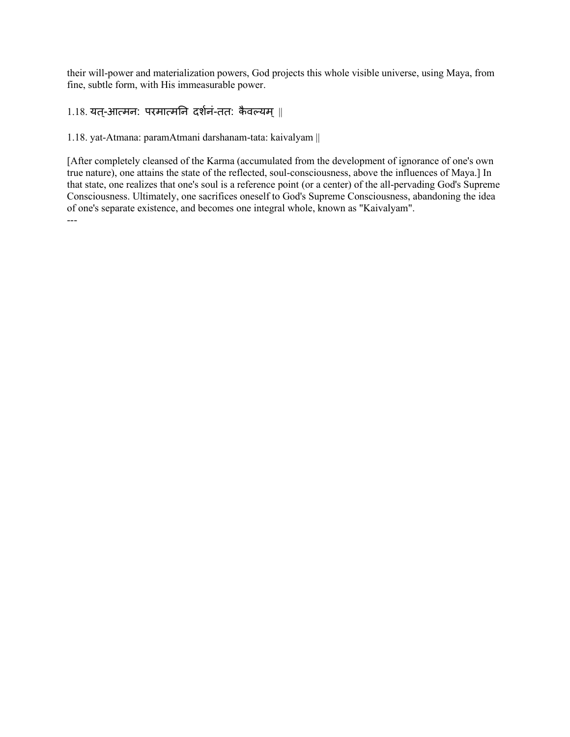their will-power and materialization powers, God projects this whole visible universe, using Maya, from fine, subtle form, with His immeasurable power.

 $1.18.$  यत्-आत्मन: परमात्मनि दर्शनं-तत: कैवल्यम् ||

1.18. yat-Atmana: paramAtmani darshanam-tata: kaivalyam ||

[After completely cleansed of the Karma (accumulated from the development of ignorance of one's own true nature), one attains the state of the reflected, soul-consciousness, above the influences of Maya.] In that state, one realizes that one's soul is a reference point (or a center) of the all-pervading God's Supreme Consciousness. Ultimately, one sacrifices oneself to God's Supreme Consciousness, abandoning the idea of one's separate existence, and becomes one integral whole, known as "Kaivalyam". ---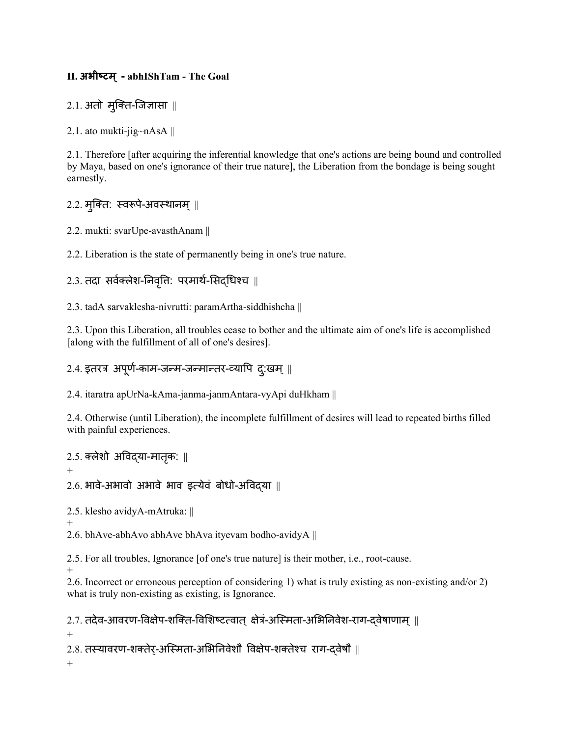### **II. अभीष्टि्- abhIShTam - The Goal**

## $2.1.$  अतो मुक्ति-जिज्ञासा ||

2.1. ato mukti-jig~nAsA ||

2.1. Therefore [after acquiring the inferential knowledge that one's actions are being bound and controlled by Maya, based on one's ignorance of their true nature], the Liberation from the bondage is being sought earnestly.

## 2.2. मुक्ति: स्वरूपे-अवस्थानम् ||

2.2. mukti: svarUpe-avasthAnam ||

2.2. Liberation is the state of permanently being in one's true nature.

## $2.3.$  तदा सर्वक्लेश-निवृत्ति: परमार्थ-सिद्धिश्च ||

2.3. tadA sarvaklesha-nivrutti: paramArtha-siddhishcha ||

2.3. Upon this Liberation, all troubles cease to bother and the ultimate aim of one's life is accomplished [along with the fulfillment of all of one's desires].

## $2.4.$  इतरत्र अपूर्ण-काम-जन्म-जन्मान्तर-व्यापि द:खम् ||

2.4. itaratra apUrNa-kAma-janma-janmAntara-vyApi duHkham ||

2.4. Otherwise (until Liberation), the incomplete fulfillment of desires will lead to repeated births filled with painful experiences.

#### 2.5. क्लेशो अविद्या-मातकृ : ||

+

 $2.6$ . भावे-अभावो अभावे भाव इत्येवं बोधो-अविद्या ||

2.5. klesho avidyA-mAtruka: ||

+ 2.6. bhAve-abhAvo abhAve bhAva ityevam bodho-avidyA ||

2.5. For all troubles, Ignorance [of one's true nature] is their mother, i.e., root-cause.

+

2.6. Incorrect or erroneous perception of considering 1) what is truly existing as non-existing and/or 2) what is truly non-existing as existing, is Ignorance.

```
2.7. तदेव-आवरण-विक्षेप-शक्ति-विशिष्टत्वात् क्षेत्रं-अस्मिता-अभिनिवेश-राग-दवेषाणाम् ||
+
2.8. तस्यावरण-शक्तेर्-अस्मिता-अभिनिवेशौ विक्षेप-शक्तेश्च राग-दवेषौ ||
+
```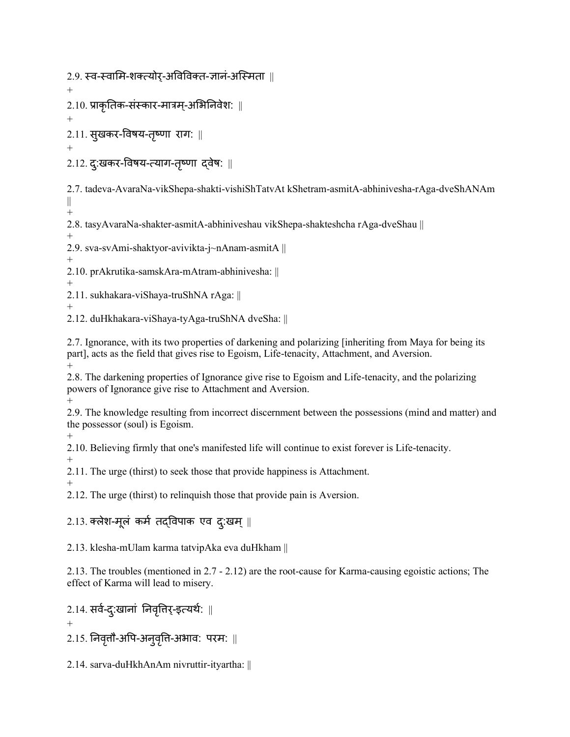2.9. स्व-स्वामि-शक्त्योर-अविविक्त-ज्ञानं-अस्मिता ॥

 $+$ 

2.10. प्राकृनतक-संस्कार-मात्रम-्अमभननिेश: ||

+ 2.11. सुखकर-विषय-तृष्णा राग: ||

+

 $2.12$ . दु:खकर-विषय-त्याग-तृष्णा द्वेष: ॥

2.7. tadeva-AvaraNa-vikShepa-shakti-vishiShTatvAt kShetram-asmitA-abhinivesha-rAga-dveShANAm ||  $+$ 

2.8. tasyAvaraNa-shakter-asmitA-abhiniveshau vikShepa-shakteshcha rAga-dveShau ||

+ 2.9. sva-svAmi-shaktyor-avivikta-j~nAnam-asmitA ||

+ 2.10. prAkrutika-samskAra-mAtram-abhinivesha: ||

+

2.11. sukhakara-viShaya-truShNA rAga: ||

+

2.12. duHkhakara-viShaya-tyAga-truShNA dveSha: ||

2.7. Ignorance, with its two properties of darkening and polarizing [inheriting from Maya for being its part], acts as the field that gives rise to Egoism, Life-tenacity, Attachment, and Aversion. +

2.8. The darkening properties of Ignorance give rise to Egoism and Life-tenacity, and the polarizing powers of Ignorance give rise to Attachment and Aversion.

+ 2.9. The knowledge resulting from incorrect discernment between the possessions (mind and matter) and the possessor (soul) is Egoism.

 $+$ 

2.10. Believing firmly that one's manifested life will continue to exist forever is Life-tenacity.

+ 2.11. The urge (thirst) to seek those that provide happiness is Attachment.

+

2.12. The urge (thirst) to relinquish those that provide pain is Aversion.

# $2.13.$  क्लेश-मूलं कर्म तदविपाक एव दु:खम् ||

2.13. klesha-mUlam karma tatvipAka eva duHkham ||

2.13. The troubles (mentioned in 2.7 - 2.12) are the root-cause for Karma-causing egoistic actions; The effect of Karma will lead to misery.

 $2.14.$  सर्व-दु:खानां निवृत्तिर्-इत्यर्थ: ||

+

 $2.15.$  निवृत्तौ-अपि-अनुवृत्ति-अभाव: परम: ||

2.14. sarva-duHkhAnAm nivruttir-ityartha: ||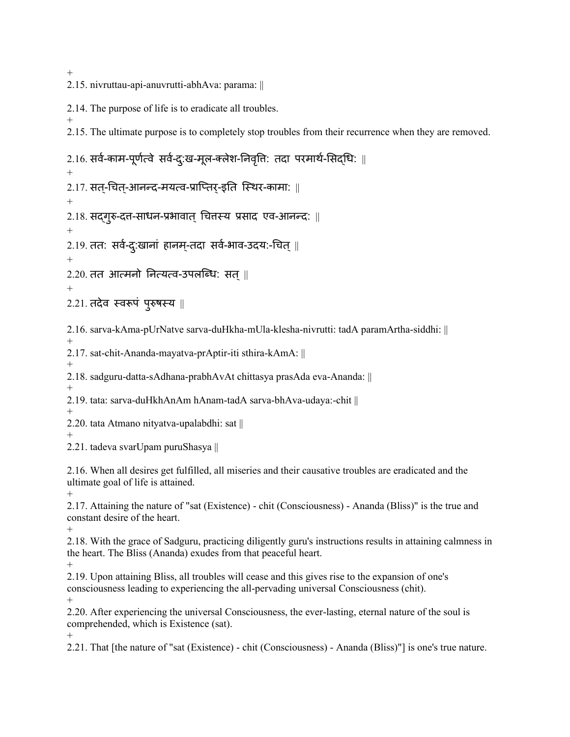$^{+}$ 

2.15. nivruttau-api-anuvrutti-abhAva: parama: ||

2.14. The purpose of life is to eradicate all troubles.

+ 2.15. The ultimate purpose is to completely stop troubles from their recurrence when they are removed.

 $2.16$ . सर्व-काम-पूर्णत्वे सर्व-द:ख-मूल-क्लेश-निवृत्ति: तदा परमार्थ-सिदधि: || +  $2.17.$  सत्-चित्-आनन्द-मयत्व-प्राप्तिर्-इति स्थिर-कामा: || +  $2.18.$  सद्गृरु-दत्त-साधन-प्रभावात् चित्तस्य प्रसाद एव-आनन्द: || +  $2.19.$  तत: सर्व-दु:खानां हानम्-तदा सर्व-भाव-उदय:-चित् || +  $2.20.$  तत आत्मनो नित्यत्व-उपलब्धि: सत $||$ +  $2.21.$  तदेव स्वरूपं पुरुषस्य || 2.16. sarva-kAma-pUrNatve sarva-duHkha-mUla-klesha-nivrutti: tadA paramArtha-siddhi: || + 2.17. sat-chit-Ananda-mayatva-prAptir-iti sthira-kAmA: || + 2.18. sadguru-datta-sAdhana-prabhAvAt chittasya prasAda eva-Ananda: || + 2.19. tata: sarva-duHkhAnAm hAnam-tadA sarva-bhAva-udaya:-chit || + 2.20. tata Atmano nityatva-upalabdhi: sat || + 2.21. tadeva svarUpam puruShasya || 2.16. When all desires get fulfilled, all miseries and their causative troubles are eradicated and the ultimate goal of life is attained. + 2.17. Attaining the nature of "sat (Existence) - chit (Consciousness) - Ananda (Bliss)" is the true and constant desire of the heart. + 2.18. With the grace of Sadguru, practicing diligently guru's instructions results in attaining calmness in the heart. The Bliss (Ananda) exudes from that peaceful heart. + 2.19. Upon attaining Bliss, all troubles will cease and this gives rise to the expansion of one's consciousness leading to experiencing the all-pervading universal Consciousness (chit). + 2.20. After experiencing the universal Consciousness, the ever-lasting, eternal nature of the soul is comprehended, which is Existence (sat).  $+$ 

2.21. That [the nature of "sat (Existence) - chit (Consciousness) - Ananda (Bliss)"] is one's true nature.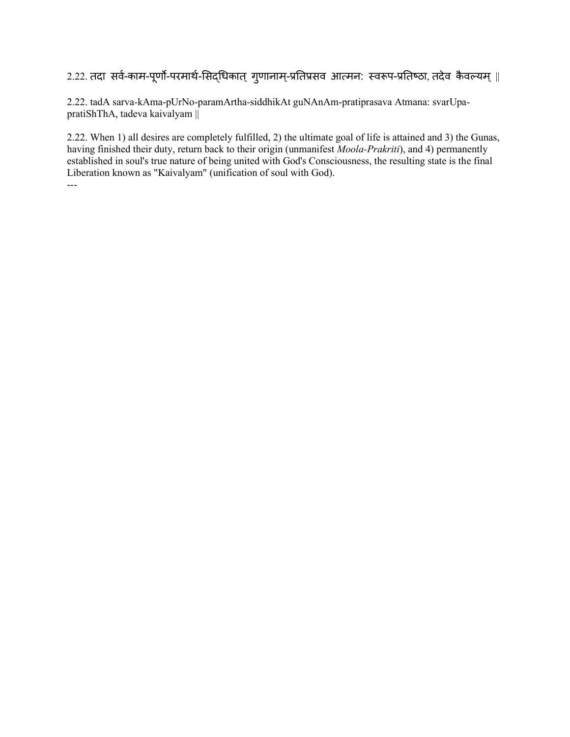# 2.22. तदा सर्व-काम-पूर्णो-परमार्थ-सिद्धिकात् गुणानाम्-प्रतिप्रसव आत्मन: स्वरूप-प्रतिष्ठा, तदेव कैवल्यम् ||

2.22. tadA sarva-kAma-pUrNo-paramArtha-siddhikAt guNAnAm-pratiprasava Atmana: svarUpapratiShThA, tadeva kaivalyam ||

2.22. When 1) all desires are completely fulfilled, 2) the ultimate goal of life is attained and 3) the Gunas, having finished their duty, return back to their origin (unmanifest *Moola-Prakriti*), and 4) permanently established in soul's true nature of being united with God's Consciousness, the resulting state is the final Liberation known as "Kaivalyam" (unification of soul with God). ---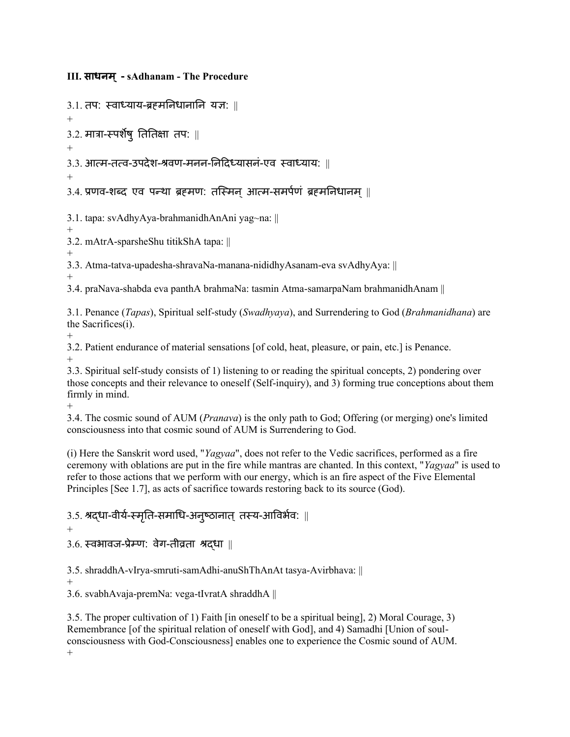#### **III. साधनि्- sAdhanam - The Procedure**

3.1. तप: स्िाध्याय-ब्रह्मननिानानन यज्ञ: ||

+

 $3.2.$  मात्रा-स्पर्शेषु तितिक्षा तप: ||

+

3.3. आत्म-तत्व-उपदेश-श्रवण-मनन-निदिध्यासनं-एव स्वाध्याय: ॥

+

3.4. प्रणव-शब्द एव पन्था ब्रहमण: तस्मिन आत्म-समर्पणं ब्रहमनिधानम ||

3.1. tapa: svAdhyAya-brahmanidhAnAni yag~na: ||

+ 3.2. mAtrA-sparsheShu titikShA tapa: ||

+

3.3. Atma-tatva-upadesha-shravaNa-manana-nididhyAsanam-eva svAdhyAya: ||

+

3.4. praNava-shabda eva panthA brahmaNa: tasmin Atma-samarpaNam brahmanidhAnam ||

3.1. Penance (*Tapas*), Spiritual self-study (*Swadhyaya*), and Surrendering to God (*Brahmanidhana*) are the Sacrifices(i).

+

3.2. Patient endurance of material sensations [of cold, heat, pleasure, or pain, etc.] is Penance. +

3.3. Spiritual self-study consists of 1) listening to or reading the spiritual concepts, 2) pondering over those concepts and their relevance to oneself (Self-inquiry), and 3) forming true conceptions about them firmly in mind.

+ 3.4. The cosmic sound of AUM (*Pranava*) is the only path to God; Offering (or merging) one's limited consciousness into that cosmic sound of AUM is Surrendering to God.

(i) Here the Sanskrit word used, "*Yagyaa*", does not refer to the Vedic sacrifices, performed as a fire ceremony with oblations are put in the fire while mantras are chanted. In this context, "*Yagyaa*" is used to refer to those actions that we perform with our energy, which is an fire aspect of the Five Elemental Principles [See 1.7], as acts of sacrifice towards restoring back to its source (God).

 $3.5.$  श्रद्धा-वीर्य-स्मृति-समाधि-अनुष्ठानात् तस्य-आविर्भव:  $\parallel$ 

+

 $3.6.$  स्वभावज-प्रेम्ण: वेग-तीव्रता श्रद्धा ||

3.5. shraddhA-vIrya-smruti-samAdhi-anuShThAnAt tasya-Avirbhava: ||

+

3.6. svabhAvaja-premNa: vega-tIvratA shraddhA ||

3.5. The proper cultivation of 1) Faith [in oneself to be a spiritual being], 2) Moral Courage, 3) Remembrance [of the spiritual relation of oneself with God], and 4) Samadhi [Union of soulconsciousness with God-Consciousness] enables one to experience the Cosmic sound of AUM. +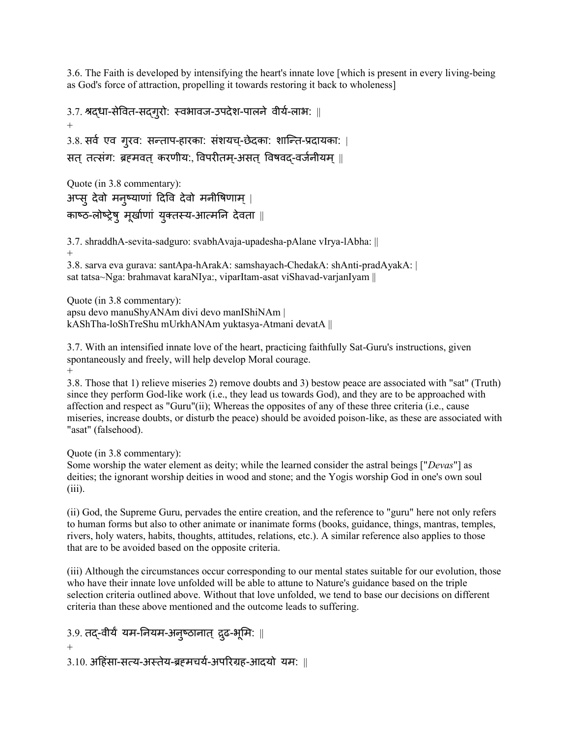3.6. The Faith is developed by intensifying the heart's innate love [which is present in every living-being as God's force of attraction, propelling it towards restoring it back to wholeness]

```
3.7. श्रद्धा-सेवित-सद्गुरो: स्वभावज-उपदेश-पालने वीर्य-लाभ: ||
+
3.8. सर्व एव गूरव: सन्ताप-हारका: संशयच्-छेदका: शान्ति-प्रदायका: |
सत् तत्संग: ब्रहमवत् करणीय:, विपरीतम्-असत् विषवद-वर्जनीयम् ||
```

```
Quote (in 3.8 commentary):
अप्सु देवो मनुष्याणां दिवि देवो मनीषिणाम् |
काष्ठ-लोष्ट्रेषु मूर्खाणां युक्तस्य-आत्मनि देवता ||
```

```
3.7. shraddhA-sevita-sadguro: svabhAvaja-upadesha-pAlane vIrya-lAbha: || 
+
3.8. sarva eva gurava: santApa-hArakA: samshayach-ChedakA: shAnti-pradAyakA: |
```
sat tatsa~Nga: brahmavat karaNIya:, viparItam-asat viShavad-varjanIyam ||

Quote (in 3.8 commentary): apsu devo manuShyANAm divi devo manIShiNAm | kAShTha-loShTreShu mUrkhANAm yuktasya-Atmani devatA ||

3.7. With an intensified innate love of the heart, practicing faithfully Sat-Guru's instructions, given spontaneously and freely, will help develop Moral courage. +

3.8. Those that 1) relieve miseries 2) remove doubts and 3) bestow peace are associated with "sat" (Truth) since they perform God-like work (i.e., they lead us towards God), and they are to be approached with affection and respect as "Guru"(ii); Whereas the opposites of any of these three criteria (i.e., cause miseries, increase doubts, or disturb the peace) should be avoided poison-like, as these are associated with "asat" (falsehood).

Quote (in 3.8 commentary):

Some worship the water element as deity; while the learned consider the astral beings ["*Devas*"] as deities; the ignorant worship deities in wood and stone; and the Yogis worship God in one's own soul (iii).

(ii) God, the Supreme Guru, pervades the entire creation, and the reference to "guru" here not only refers to human forms but also to other animate or inanimate forms (books, guidance, things, mantras, temples, rivers, holy waters, habits, thoughts, attitudes, relations, etc.). A similar reference also applies to those that are to be avoided based on the opposite criteria.

(iii) Although the circumstances occur corresponding to our mental states suitable for our evolution, those who have their innate love unfolded will be able to attune to Nature's guidance based on the triple selection criteria outlined above. Without that love unfolded, we tend to base our decisions on different criteria than these above mentioned and the outcome leads to suffering.

```
3.9. तद्-वीर्यं यम-नियम-अनुष्ठानात् द्रुढ-भूमि: \parallel+
3.10. अदहंसा-सत्य-अस्तेय-ब्रह्मियण-अपररग्रह-आदयो यम: ||
```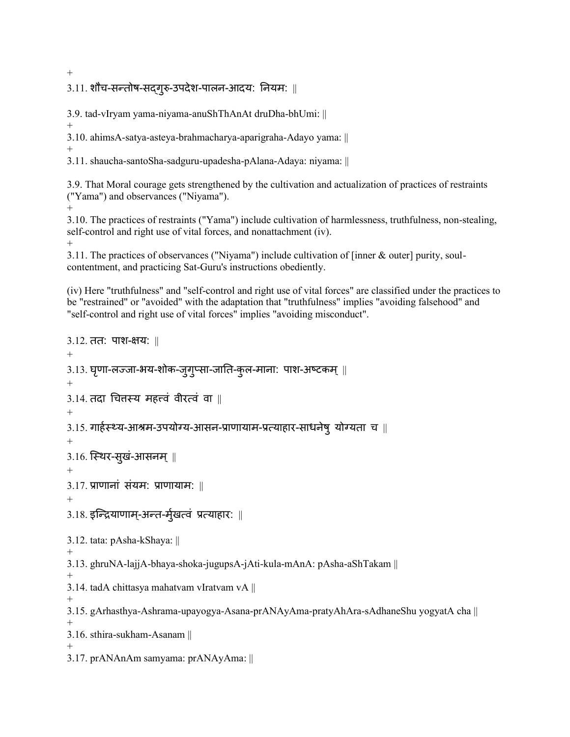$3.11.$  शौच-सन्तोष-सद्गुरु-उपदेश-पालन-आदय: नियम: ||

3.9. tad-vIryam yama-niyama-anuShThAnAt druDha-bhUmi: ||

+

3.10. ahimsA-satya-asteya-brahmacharya-aparigraha-Adayo yama: ||

+ 3.11. shaucha-santoSha-sadguru-upadesha-pAlana-Adaya: niyama: ||

3.9. That Moral courage gets strengthened by the cultivation and actualization of practices of restraints ("Yama") and observances ("Niyama").

 $+$ 

3.10. The practices of restraints ("Yama") include cultivation of harmlessness, truthfulness, non-stealing, self-control and right use of vital forces, and nonattachment (iv).  $+$ 

3.11. The practices of observances ("Niyama") include cultivation of [inner & outer] purity, soulcontentment, and practicing Sat-Guru's instructions obediently.

(iv) Here "truthfulness" and "self-control and right use of vital forces" are classified under the practices to be "restrained" or "avoided" with the adaptation that "truthfulness" implies "avoiding falsehood" and "self-control and right use of vital forces" implies "avoiding misconduct".

```
3.12. तत: पाश-क्षय: \parallel+
3.13. घृणा-लज्जा-भय-शोक-जुगुप्सा-जाति-कुल-माना: पाश-अष्टकम् ||
+
3.14. तदा चित्तस्य महत्त्वं वीरत्वं वा ||
+
3.15. गार्हस्थ्य-आश्रम-उपयोग्य-आसन-प्राणायाम-प्रत्याहार-साधनेषु योग्यता च \parallel+
3.16. स्थिर-सूखं-आसनम् ||
+
3.17. प्राणानां संयम: प्राणायाम: \parallel+
3.18. इन्द्रियाणाम्-अन्त-र्मुखत्वं प्रत्याहार: ||
3.12. tata: pAsha-kShaya: ||
+
3.13. ghruNA-lajjA-bhaya-shoka-jugupsA-jAti-kula-mAnA: pAsha-aShTakam ||
+
3.14. tadA chittasya mahatvam vIratvam vA ||
+
3.15. gArhasthya-Ashrama-upayogya-Asana-prANAyAma-pratyAhAra-sAdhaneShu yogyatA cha || 
+
3.16. sthira-sukham-Asanam ||
+
3.17. prANAnAm samyama: prANAyAma: ||
```
 $+$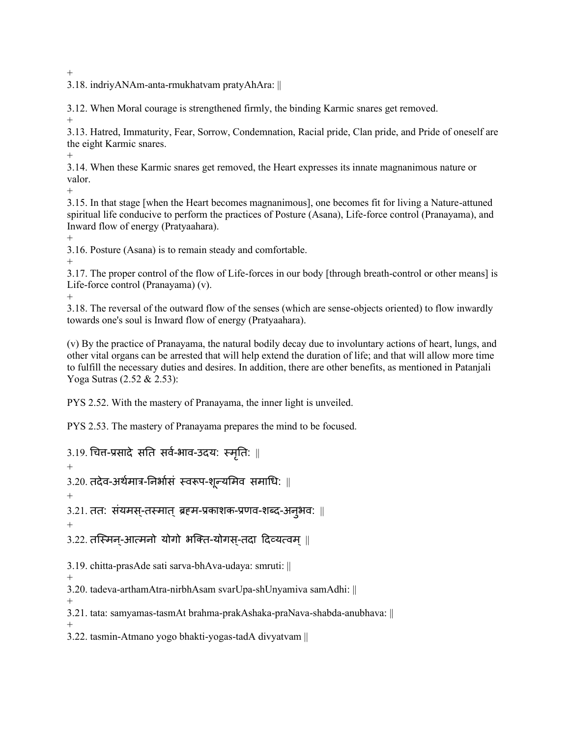$^{+}$ 

3.18. indriyANAm-anta-rmukhatvam pratyAhAra: ||

3.12. When Moral courage is strengthened firmly, the binding Karmic snares get removed. +

3.13. Hatred, Immaturity, Fear, Sorrow, Condemnation, Racial pride, Clan pride, and Pride of oneself are the eight Karmic snares.

+

3.14. When these Karmic snares get removed, the Heart expresses its innate magnanimous nature or valor.

 $+$ 

3.15. In that stage [when the Heart becomes magnanimous], one becomes fit for living a Nature-attuned spiritual life conducive to perform the practices of Posture (Asana), Life-force control (Pranayama), and Inward flow of energy (Pratyaahara).

+

3.16. Posture (Asana) is to remain steady and comfortable.

+

3.17. The proper control of the flow of Life-forces in our body [through breath-control or other means] is Life-force control (Pranayama) (v).

+

3.18. The reversal of the outward flow of the senses (which are sense-objects oriented) to flow inwardly towards one's soul is Inward flow of energy (Pratyaahara).

(v) By the practice of Pranayama, the natural bodily decay due to involuntary actions of heart, lungs, and other vital organs can be arrested that will help extend the duration of life; and that will allow more time to fulfill the necessary duties and desires. In addition, there are other benefits, as mentioned in Patanjali Yoga Sutras (2.52 & 2.53):

PYS 2.52. With the mastery of Pranayama, the inner light is unveiled.

PYS 2.53. The mastery of Pranayama prepares the mind to be focused.

 $3.19.$  चित्त-प्रसादे सति सर्व-भाव-उदय: स्मृति:  $\parallel$ 

+

 $3.20.$  तदेव-अर्थमात्र-निर्भासं स्वरूप-शून्यमिव समाधि: ||

+

3.21. तत: संयमस्-तस्मात् ब्रहम-प्रकाशक-प्रणव-शब्द-अन्अव: ॥

+

3.22. तस्मिन्-आत्मनो योगो भक्ति-योगस्-तदा दिव्यत्वम् ||

3.19. chitta-prasAde sati sarva-bhAva-udaya: smruti: ||

+ 3.20. tadeva-arthamAtra-nirbhAsam svarUpa-shUnyamiva samAdhi: ||

+

3.21. tata: samyamas-tasmAt brahma-prakAshaka-praNava-shabda-anubhava: ||

+

3.22. tasmin-Atmano yogo bhakti-yogas-tadA divyatvam ||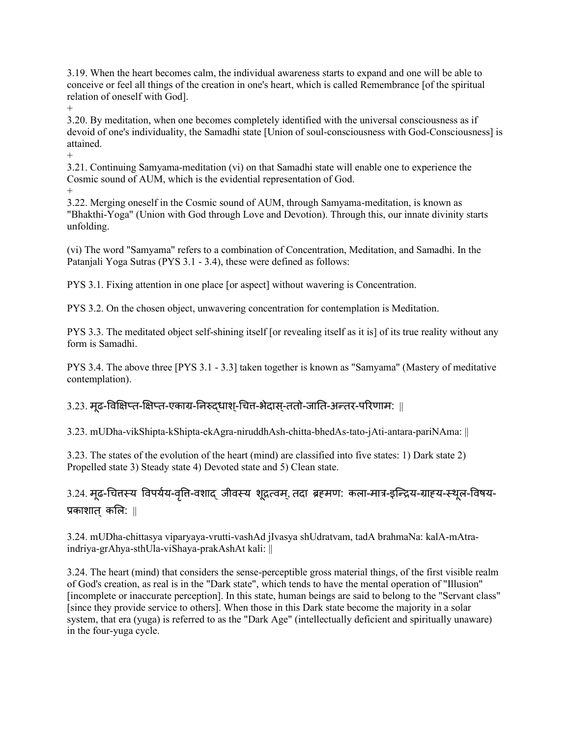3.19. When the heart becomes calm, the individual awareness starts to expand and one will be able to conceive or feel all things of the creation in one's heart, which is called Remembrance [of the spiritual relation of oneself with God].

+

3.20. By meditation, when one becomes completely identified with the universal consciousness as if devoid of one's individuality, the Samadhi state [Union of soul-consciousness with God-Consciousness] is attained.

3.21. Continuing Samyama-meditation (vi) on that Samadhi state will enable one to experience the Cosmic sound of AUM, which is the evidential representation of God.

+

+

3.22. Merging oneself in the Cosmic sound of AUM, through Samyama-meditation, is known as "Bhakthi-Yoga" (Union with God through Love and Devotion). Through this, our innate divinity starts unfolding.

(vi) The word "Samyama" refers to a combination of Concentration, Meditation, and Samadhi. In the Patanjali Yoga Sutras (PYS 3.1 - 3.4), these were defined as follows:

PYS 3.1. Fixing attention in one place [or aspect] without wavering is Concentration.

PYS 3.2. On the chosen object, unwavering concentration for contemplation is Meditation.

PYS 3.3. The meditated object self-shining itself [or revealing itself as it is] of its true reality without any form is Samadhi.

PYS 3.4. The above three [PYS 3.1 - 3.3] taken together is known as "Samyama" (Mastery of meditative contemplation).

 $3.23.$  मृढ-विक्षिप्त-क्षिप्त-एकाग्र-निरुद्धाश्-चित्त-भेदास्-ततो-जाति-अन्तर-परिणाम:  $\parallel$ 

3.23. mUDha-vikShipta-kShipta-ekAgra-niruddhAsh-chitta-bhedAs-tato-jAti-antara-pariNAma: ||

3.23. The states of the evolution of the heart (mind) are classified into five states: 1) Dark state 2) Propelled state 3) Steady state 4) Devoted state and 5) Clean state.

3.24. मूढ-चित्तस्य विपर्यय-वृत्ति-वशाद् जीवस्य शूद्रत्वम्, तदा ब्रहमण: कला-मात्र-इन्द्रिय-ग्राह्य-स्थूल-विषय-प्रकाशात कलि: ||

3.24. mUDha-chittasya viparyaya-vrutti-vashAd jIvasya shUdratvam, tadA brahmaNa: kalA-mAtraindriya-grAhya-sthUla-viShaya-prakAshAt kali: ||

3.24. The heart (mind) that considers the sense-perceptible gross material things, of the first visible realm of God's creation, as real is in the "Dark state", which tends to have the mental operation of "Illusion" [incomplete or inaccurate perception]. In this state, human beings are said to belong to the "Servant class" [since they provide service to others]. When those in this Dark state become the majority in a solar system, that era (yuga) is referred to as the "Dark Age" (intellectually deficient and spiritually unaware) in the four-yuga cycle.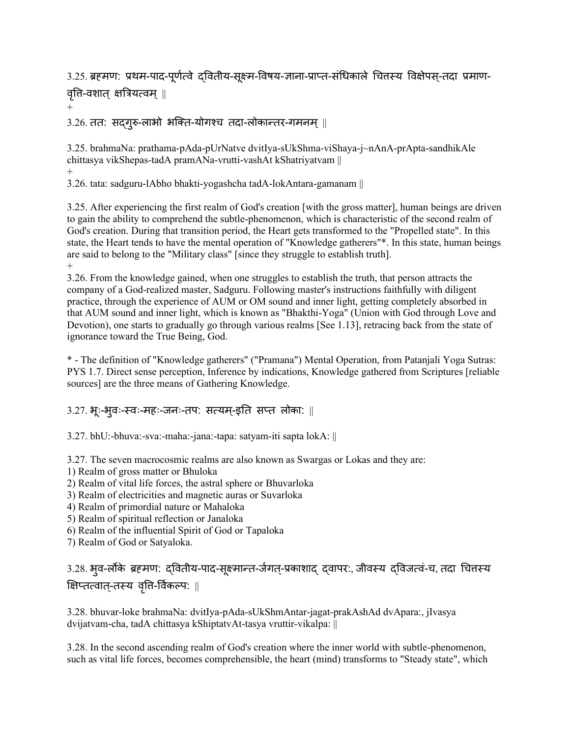3.25. ब्रहमण: प्रथम-पाद-पूर्णत्वे दवितीय-सूक्ष्म-विषय-ज्ञाना-प्राप्त-संधिकाले चित्तस्य विक्षेपस्-तदा प्रमाण-

वृत्ति-वशात् क्षत्रियत्वम् ||

+

 $3.26$ . तत: सदगुरु-लाभो भक्ति-योगश्च तदा-लोकान्तर-गमनम् ||

3.25. brahmaNa: prathama-pAda-pUrNatve dvitIya-sUkShma-viShaya-j~nAnA-prApta-sandhikAle chittasya vikShepas-tadA pramANa-vrutti-vashAt kShatriyatvam || +

3.26. tata: sadguru-lAbho bhakti-yogashcha tadA-lokAntara-gamanam ||

3.25. After experiencing the first realm of God's creation [with the gross matter], human beings are driven to gain the ability to comprehend the subtle-phenomenon, which is characteristic of the second realm of God's creation. During that transition period, the Heart gets transformed to the "Propelled state". In this state, the Heart tends to have the mental operation of "Knowledge gatherers"\*. In this state, human beings are said to belong to the "Military class" [since they struggle to establish truth]. +

3.26. From the knowledge gained, when one struggles to establish the truth, that person attracts the company of a God-realized master, Sadguru. Following master's instructions faithfully with diligent practice, through the experience of AUM or OM sound and inner light, getting completely absorbed in that AUM sound and inner light, which is known as "Bhakthi-Yoga" (Union with God through Love and Devotion), one starts to gradually go through various realms [See 1.13], retracing back from the state of ignorance toward the True Being, God.

\* - The definition of "Knowledge gatherers" ("Pramana") Mental Operation, from Patanjali Yoga Sutras: PYS 1.7. Direct sense perception, Inference by indications, Knowledge gathered from Scriptures [reliable sources] are the three means of Gathering Knowledge.

#### 3.27. भूः-भुिः-स्िः-महः-जनः-तप: सत्यम-्इनत सप्त लोका: ||

3.27. bhU:-bhuva:-sva:-maha:-jana:-tapa: satyam-iti sapta lokA: ||

3.27. The seven macrocosmic realms are also known as Swargas or Lokas and they are:

- 1) Realm of gross matter or Bhuloka
- 2) Realm of vital life forces, the astral sphere or Bhuvarloka
- 3) Realm of electricities and magnetic auras or Suvarloka
- 4) Realm of primordial nature or Mahaloka
- 5) Realm of spiritual reflection or Janaloka
- 6) Realm of the influential Spirit of God or Tapaloka
- 7) Realm of God or Satyaloka.

3.28. भृव-लोके ब्रहमण: दवितीय-पाद-सुक्ष्मान्त-र्जगत-प्रकाशाद दवापर:, जीवस्य दविजत्वं-च, तदा चित्तस्य क्षिप्तत्वात्-तस्य वृत्ति-र्विकल्प: ||

3.28. bhuvar-loke brahmaNa: dvitIya-pAda-sUkShmAntar-jagat-prakAshAd dvApara:, jIvasya dvijatvam-cha, tadA chittasya kShiptatvAt-tasya vruttir-vikalpa: ||

3.28. In the second ascending realm of God's creation where the inner world with subtle-phenomenon, such as vital life forces, becomes comprehensible, the heart (mind) transforms to "Steady state", which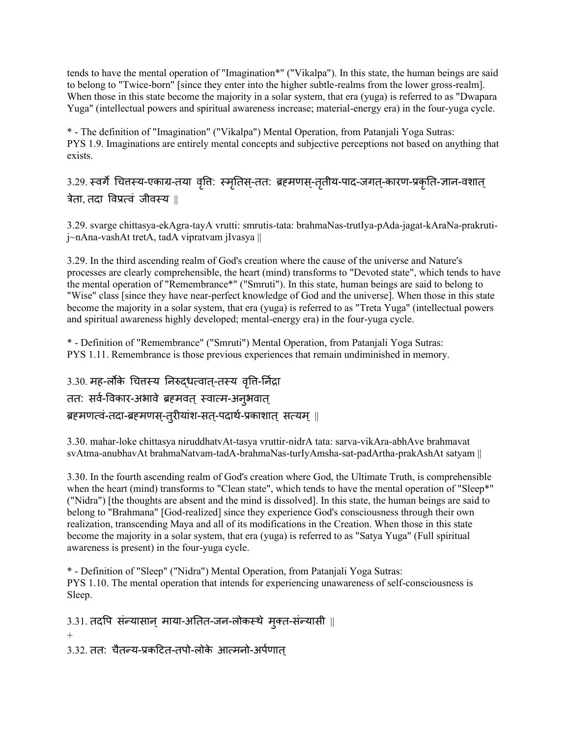tends to have the mental operation of "Imagination\*" ("Vikalpa"). In this state, the human beings are said to belong to "Twice-born" [since they enter into the higher subtle-realms from the lower gross-realm]. When those in this state become the majority in a solar system, that era (yuga) is referred to as "Dwapara Yuga" (intellectual powers and spiritual awareness increase; material-energy era) in the four-yuga cycle.

\* - The definition of "Imagination" ("Vikalpa") Mental Operation, from Patanjali Yoga Sutras: PYS 1.9. Imaginations are entirely mental concepts and subjective perceptions not based on anything that exists.

3.29. स्वर्गे चित्तस्य-एकाग्र-तया वृत्ति: स्मृतिस्-तत: ब्रहमणस्-तृतीय-पाद-जगत्-कारण-प्रकृति-ज्ञान-वशात् त्रेता, तदा विप्रत्वं जीवस्य  $\parallel$ 

3.29. svarge chittasya-ekAgra-tayA vrutti: smrutis-tata: brahmaNas-trutIya-pAda-jagat-kAraNa-prakrutij~nAna-vashAt tretA, tadA vipratvam jIvasya ||

3.29. In the third ascending realm of God's creation where the cause of the universe and Nature's processes are clearly comprehensible, the heart (mind) transforms to "Devoted state", which tends to have the mental operation of "Remembrance\*" ("Smruti"). In this state, human beings are said to belong to "Wise" class [since they have near-perfect knowledge of God and the universe]. When those in this state become the majority in a solar system, that era (yuga) is referred to as "Treta Yuga" (intellectual powers and spiritual awareness highly developed; mental-energy era) in the four-yuga cycle.

\* - Definition of "Remembrance" ("Smruti") Mental Operation, from Patanjali Yoga Sutras: PYS 1.11. Remembrance is those previous experiences that remain undiminished in memory.

3.30. मह-लोंके चित्तस्य निरुद्धत्वात्-तस्य वृत्ति-र्निद्रा तत: सर्व-विकार-अभावे ब्रहमवत् स्वात्म-अनुभवात् ब्रहमणत्वं-तदा-ब्रहमणस्-त्रीयांश-सत्-पदार्थ-प्रकाशात् सत्यम् ||

3.30. mahar-loke chittasya niruddhatvAt-tasya vruttir-nidrA tata: sarva-vikAra-abhAve brahmavat svAtma-anubhavAt brahmaNatvam-tadA-brahmaNas-turIyAmsha-sat-padArtha-prakAshAt satyam ||

3.30. In the fourth ascending realm of God's creation where God, the Ultimate Truth, is comprehensible when the heart (mind) transforms to "Clean state", which tends to have the mental operation of "Sleep\*" ("Nidra") [the thoughts are absent and the mind is dissolved]. In this state, the human beings are said to belong to "Brahmana" [God-realized] since they experience God's consciousness through their own realization, transcending Maya and all of its modifications in the Creation. When those in this state become the majority in a solar system, that era (yuga) is referred to as "Satya Yuga" (Full spiritual awareness is present) in the four-yuga cycle.

\* - Definition of "Sleep" ("Nidra") Mental Operation, from Patanjali Yoga Sutras: PYS 1.10. The mental operation that intends for experiencing unawareness of self-consciousness is Sleep.

 $3.31.$  तदपि संन्यासान् माया-अतित-जन-लोकस्थे मुक्त-संन्यासी || + 3.32. तत: िैतन्य-प्रकदित-तपो-लोके आत्मनो-अपर्ण ात्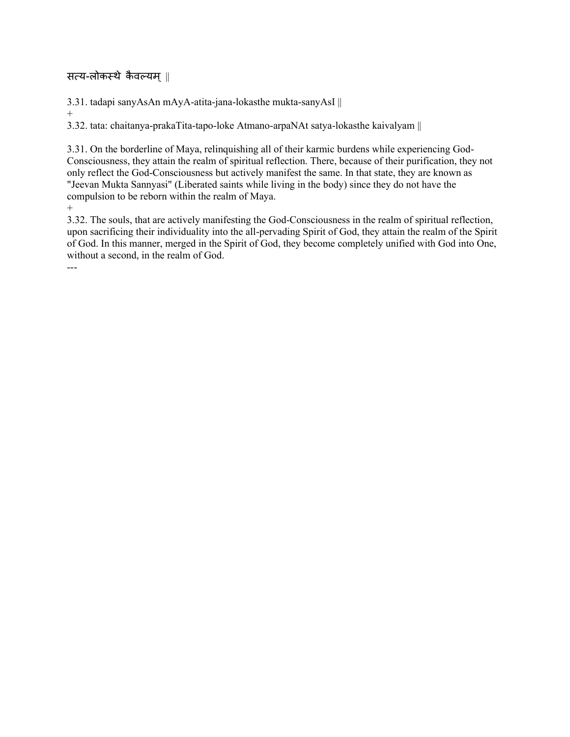## सत्य-लोकस्थे कैवल्यम् ||

3.31. tadapi sanyAsAn mAyA-atita-jana-lokasthe mukta-sanyAsI ||

+

3.32. tata: chaitanya-prakaTita-tapo-loke Atmano-arpaNAt satya-lokasthe kaivalyam ||

3.31. On the borderline of Maya, relinquishing all of their karmic burdens while experiencing God-Consciousness, they attain the realm of spiritual reflection. There, because of their purification, they not only reflect the God-Consciousness but actively manifest the same. In that state, they are known as "Jeevan Mukta Sannyasi" (Liberated saints while living in the body) since they do not have the compulsion to be reborn within the realm of Maya.  $+$ 

3.32. The souls, that are actively manifesting the God-Consciousness in the realm of spiritual reflection, upon sacrificing their individuality into the all-pervading Spirit of God, they attain the realm of the Spirit of God. In this manner, merged in the Spirit of God, they become completely unified with God into One, without a second, in the realm of God.

---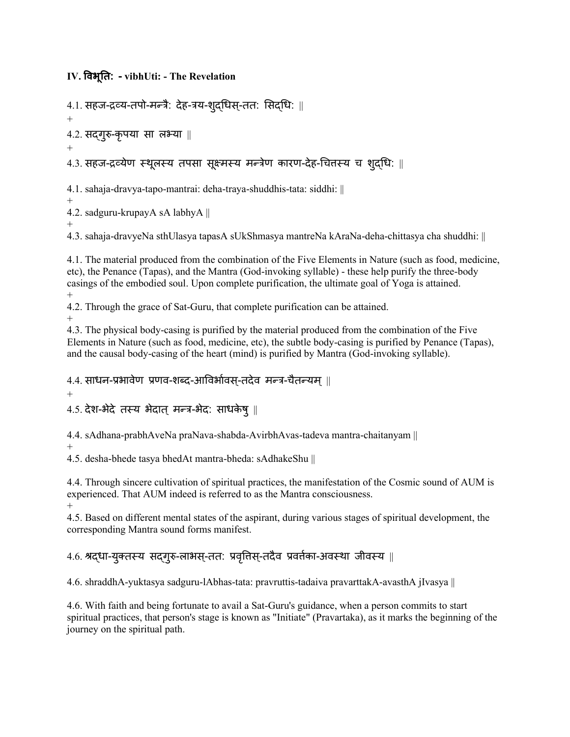**IV. ववभूतत: - vibhUti: - The Revelation**

4.1. सहज-द्रव्य-तपो-मन्त्रै: देह-त्रय-शुद्धिस्-तत: सिद्धि: || + 4.2. सद्गुरु-कृपया सा लभ्या || + 4.3. सहज-द्रव्येण स्थूलस्य तपसा सूक्ष्मस्य मन्त्रेण कारण-देह-चित्तस्य च शुद्धि: ||

4.1. sahaja-dravya-tapo-mantrai: deha-traya-shuddhis-tata: siddhi: || +

4.2. sadguru-krupayA sA labhyA ||

+ 4.3. sahaja-dravyeNa sthUlasya tapasA sUkShmasya mantreNa kAraNa-deha-chittasya cha shuddhi: ||

4.1. The material produced from the combination of the Five Elements in Nature (such as food, medicine, etc), the Penance (Tapas), and the Mantra (God-invoking syllable) - these help purify the three-body casings of the embodied soul. Upon complete purification, the ultimate goal of Yoga is attained. +

4.2. Through the grace of Sat-Guru, that complete purification can be attained.

+

4.3. The physical body-casing is purified by the material produced from the combination of the Five Elements in Nature (such as food, medicine, etc), the subtle body-casing is purified by Penance (Tapas), and the causal body-casing of the heart (mind) is purified by Mantra (God-invoking syllable).

4.4. साधन-प्रभावेण प्रणव-शब्द-आविर्भावस-तदेव मन्त्र-चैतन्यम ||

+

 $4.5.$  देश-भेदे तस्य भेदात् मन्त्र-भेद: साधकेषु ||

4.4. sAdhana-prabhAveNa praNava-shabda-AvirbhAvas-tadeva mantra-chaitanyam ||

+

4.5. desha-bhede tasya bhedAt mantra-bheda: sAdhakeShu ||

4.4. Through sincere cultivation of spiritual practices, the manifestation of the Cosmic sound of AUM is experienced. That AUM indeed is referred to as the Mantra consciousness. +

4.5. Based on different mental states of the aspirant, during various stages of spiritual development, the corresponding Mantra sound forms manifest.

# 4.6. श्रद्धा-युक्तस्य सद्गुरु-लाभस्-तत: प्रवृत्तिस्-तदैव प्रवर्तका-अवस्था जीवस्य ||

4.6. shraddhA-yuktasya sadguru-lAbhas-tata: pravruttis-tadaiva pravarttakA-avasthA jIvasya ||

4.6. With faith and being fortunate to avail a Sat-Guru's guidance, when a person commits to start spiritual practices, that person's stage is known as "Initiate" (Pravartaka), as it marks the beginning of the journey on the spiritual path.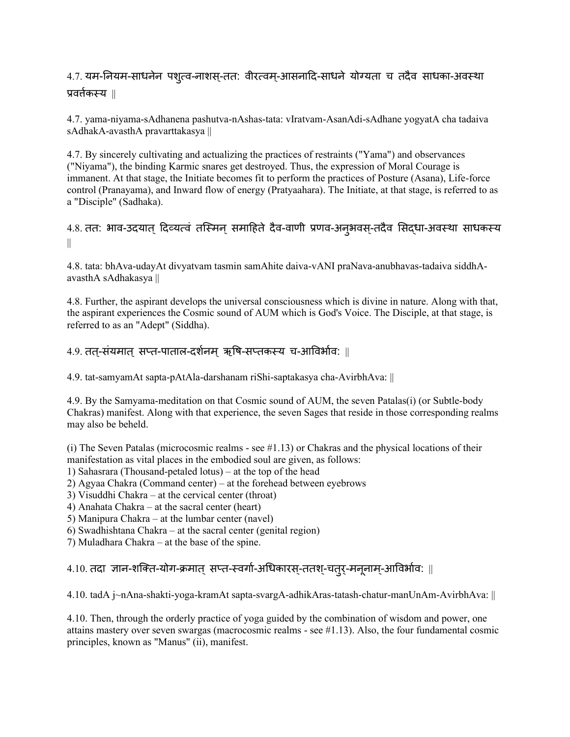# 4.7. यम-नियम-साधनेन पशुत्व-नाशस्-तत: वीरत्वम्-आसनादि-साधने योग्यता च तदैव साधका-अवस्था प्रित्तणकस्य ||

4.7. yama-niyama-sAdhanena pashutva-nAshas-tata: vIratvam-AsanAdi-sAdhane yogyatA cha tadaiva sAdhakA-avasthA pravarttakasya ||

4.7. By sincerely cultivating and actualizing the practices of restraints ("Yama") and observances ("Niyama"), the binding Karmic snares get destroyed. Thus, the expression of Moral Courage is immanent. At that stage, the Initiate becomes fit to perform the practices of Posture (Asana), Life-force control (Pranayama), and Inward flow of energy (Pratyaahara). The Initiate, at that stage, is referred to as a "Disciple" (Sadhaka).

## 4.8. तत: भाव-उदयात् दिव्यत्वं तस्मिन् समाहिते दैव-वाणी प्रणव-अनृभवस-तदैव सिदधा-अवस्था साधकस्य ||

4.8. tata: bhAva-udayAt divyatvam tasmin samAhite daiva-vANI praNava-anubhavas-tadaiva siddhAavasthA sAdhakasya ||

4.8. Further, the aspirant develops the universal consciousness which is divine in nature. Along with that, the aspirant experiences the Cosmic sound of AUM which is God's Voice. The Disciple, at that stage, is referred to as an "Adept" (Siddha).

#### 4.9. तत-संयमात सप्त-पाताल-दर्शनम ऋषि-सप्तकस्य च-आविर्भाव: ॥

4.9. tat-samyamAt sapta-pAtAla-darshanam riShi-saptakasya cha-AvirbhAva: ||

4.9. By the Samyama-meditation on that Cosmic sound of AUM, the seven Patalas(i) (or Subtle-body Chakras) manifest. Along with that experience, the seven Sages that reside in those corresponding realms may also be beheld.

(i) The Seven Patalas (microcosmic realms - see #1.13) or Chakras and the physical locations of their manifestation as vital places in the embodied soul are given, as follows:

1) Sahasrara (Thousand-petaled lotus) – at the top of the head

2) Agyaa Chakra (Command center) – at the forehead between eyebrows

- 3) Visuddhi Chakra at the cervical center (throat)
- 4) Anahata Chakra at the sacral center (heart)
- 5) Manipura Chakra at the lumbar center (navel)
- 6) Swadhishtana Chakra at the sacral center (genital region)
- 7) Muladhara Chakra at the base of the spine.

### $4.10.$  तदा ज्ञान-शक्ति-योग-क्रमात सप्त-स्वर्गा-अधिकारस-ततश-चतर-मननाम-आविर्भाव: ||

4.10. tadA j~nAna-shakti-yoga-kramAt sapta-svargA-adhikAras-tatash-chatur-manUnAm-AvirbhAva: ||

4.10. Then, through the orderly practice of yoga guided by the combination of wisdom and power, one attains mastery over seven swargas (macrocosmic realms - see #1.13). Also, the four fundamental cosmic principles, known as "Manus" (ii), manifest.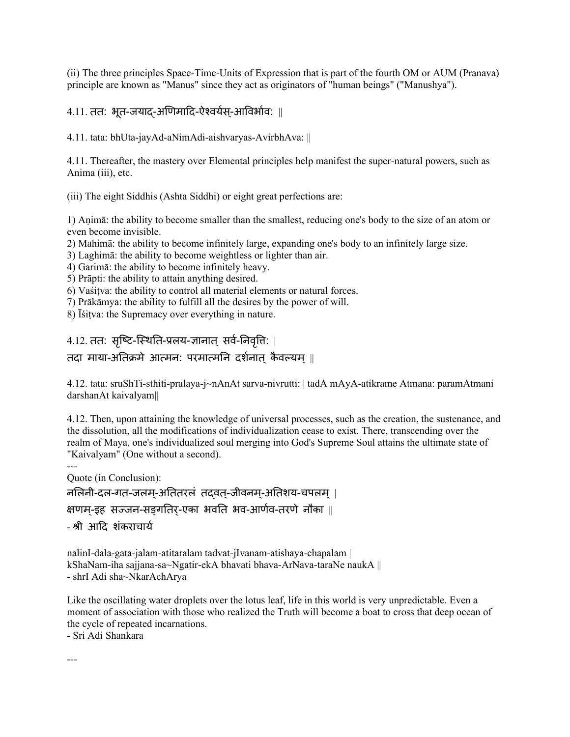(ii) The three principles Space-Time-Units of Expression that is part of the fourth OM or AUM (Pranava) principle are known as "Manus" since they act as originators of "human beings" ("Manushya").

 $4.11.$  तत: भूत-जयाद-अणिमादि-ऐश्वर्यस्-आविर्भाव: ||

4.11. tata: bhUta-jayAd-aNimAdi-aishvaryas-AvirbhAva: ||

4.11. Thereafter, the mastery over Elemental principles help manifest the super-natural powers, such as Anima (iii), etc.

(iii) The eight Siddhis (Ashta Siddhi) or eight great perfections are:

1) Aṇimā: the ability to become smaller than the smallest, reducing one's body to the size of an atom or even become invisible.

2) Mahimā: the ability to become infinitely large, expanding one's body to an infinitely large size.

3) Laghimā: the ability to become weightless or lighter than air.

4) Garimā: the ability to become infinitely heavy.

5) Prāpti: the ability to attain anything desired.

6) Vaśiṭva: the ability to control all material elements or natural forces.

7) Prākāmya: the ability to fulfill all the desires by the power of will.

8) Īśiṭva: the Supremacy over everything in nature.

4.12. तत: सृष्टि-स्थिति-प्रलय-ज्ञानात् सर्व-निवृत्ति: |

#### तदा माया-अतिक्रमे आत्मन: परमात्मनि दर्शनात कैवल्यम ||

4.12. tata: sruShTi-sthiti-pralaya-j~nAnAt sarva-nivrutti: | tadA mAyA-atikrame Atmana: paramAtmani darshanAt kaivalyam||

4.12. Then, upon attaining the knowledge of universal processes, such as the creation, the sustenance, and the dissolution, all the modifications of individualization cease to exist. There, transcending over the realm of Maya, one's individualized soul merging into God's Supreme Soul attains the ultimate state of "Kaivalyam" (One without a second).

--- Quote (in Conclusion):

नलिनी-दल-गत-जलम-अतितरलं तदवत-जीवनम-अतिशय-चपलम् |

क्षणम-इह सज्जन-सङ्गतिर-एका भवति भव-आर्णव-तरणे नौका ||

- श्री आदि शंकराचार्य

nalinI-dala-gata-jalam-atitaralam tadvat-jIvanam-atishaya-chapalam | kShaNam-iha sajjana-sa~Ngatir-ekA bhavati bhava-ArNava-taraNe naukA || - shrI Adi sha~NkarAchArya

Like the oscillating water droplets over the lotus leaf, life in this world is very unpredictable. Even a moment of association with those who realized the Truth will become a boat to cross that deep ocean of the cycle of repeated incarnations.

- Sri Adi Shankara

---